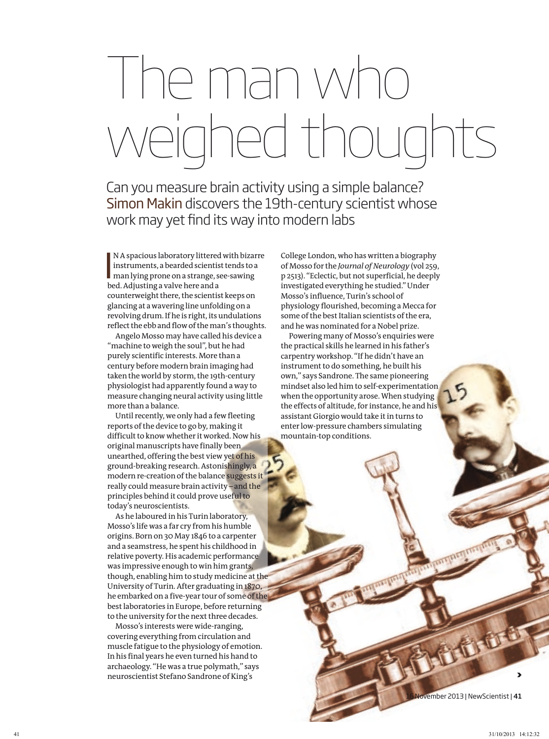## The man who weighed thoughts

Can you measure brain activity using a simple balance? Simon Makin discovers the 19th-century scientist whose work may yet find its way into modern labs

NA spacious laboratory littered with bizar<br>instruments, a bearded scientist tends to a<br>man lying prone on a strange, see-sawing<br>hed Adjusting a valve bere and a N A spacious laboratory littered with bizarre instruments, a bearded scientist tends to a bed. Adjusting a valve here and a counterweight there, the scientist keeps on glancing at a wavering line unfolding on a revolving drum. If he is right, its undulations reflect the ebb and flow of the man's thoughts.

Angelo Mosso may have called his device a "machine to weigh the soul", but he had purely scientific interests. More than a century before modern brain imaging had taken the world by storm, the 19th-century physiologist had apparently found a way to measure changing neural activity using little more than a balance.

Until recently, we only had a few fleeting reports of the device to go by, making it difficult to know whether it worked. Now his original manuscripts have finally been unearthed, offering the best view yet of his ground-breaking research. Astonishingly, a modern re-creation of the balance suggests it really could measure brain activity – and the principles behind it could prove useful to today's neuroscientists.

As he laboured in his Turin laboratory, Mosso's life was a far cry from his humble origins. Born on 30 May 1846 to a carpenter and a seamstress, he spent his childhood in relative poverty. His academic performance was impressive enough to win him grants, though, enabling him to study medicine at the University of Turin. After graduating in 1870, he embarked on a five-year tour of some of the best laboratories in Europe, before returning to the university for the next three decades.

Mosso's interests were wide-ranging, covering everything from circulation and muscle fatigue to the physiology of emotion. In his final years he even turned his hand to archaeology. "He was a true polymath," says neuroscientist Stefano Sandrone of King's

College London, who has written a biography of Mosso for the *Journal of Neurology* (vol 259, p 2513). "Eclectic, but not superficial, he deeply investigated everything he studied." Under Mosso's influence, Turin's school of physiology flourished, becoming a Mecca for some of the best Italian scientists of the era, and he was nominated for a Nobel prize.

Powering many of Mosso's enquiries were the practical skills he learned in his father's carpentry workshop. "If he didn't have an instrument to do something, he built his own," says Sandrone. The same pioneering mindset also led him to self-experimentation when the opportunity arose. When studying the effects of altitude, for instance, he and his assistant Giorgio would take it in turns to enter low-pressure chambers simulating mountain-top conditions.

vember 2013 | NewScientist | 41

>